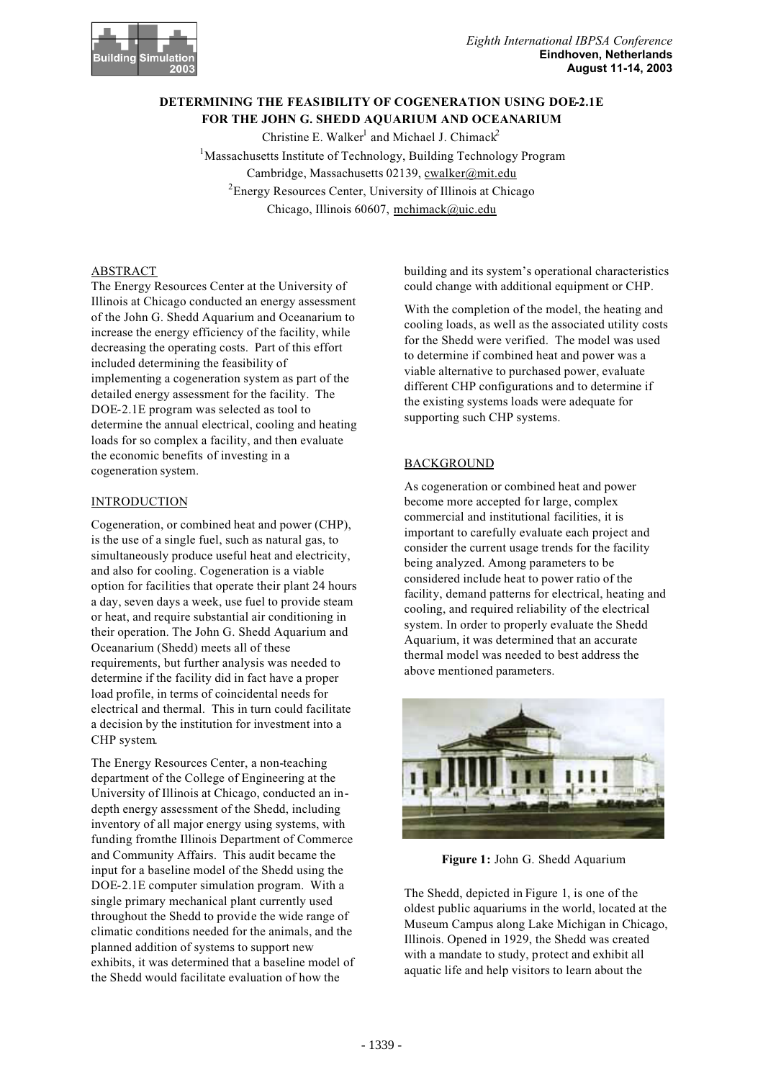

# **DETERMINING THE FEASIBILITY OF COGENERATION USING DOE-2.1E FOR THE JOHN G. SHEDD AQUARIUM AND OCEANARIUM**

Christine E. Walker<sup>1</sup> and Michael J. Chimack<sup>2</sup> <sup>1</sup>Massachusetts Institute of Technology, Building Technology Program Cambridge, Massachusetts 02139, cwalker@mit.edu <sup>2</sup> Energy Resources Center, University of Illinois at Chicago Chicago, Illinois 60607, mchimack@uic.edu

## ABSTRACT

The Energy Resources Center at the University of Illinois at Chicago conducted an energy assessment of the John G. Shedd Aquarium and Oceanarium to increase the energy efficiency of the facility, while decreasing the operating costs. Part of this effort included determining the feasibility of implementing a cogeneration system as part of the detailed energy assessment for the facility. The DOE-2.1E program was selected as tool to determine the annual electrical, cooling and heating loads for so complex a facility, and then evaluate the economic benefits of investing in a cogeneration system.

# INTRODUCTION

Cogeneration, or combined heat and power (CHP), is the use of a single fuel, such as natural gas, to simultaneously produce useful heat and electricity, and also for cooling. Cogeneration is a viable option for facilities that operate their plant 24 hours a day, seven days a week, use fuel to provide steam or heat, and require substantial air conditioning in their operation. The John G. Shedd Aquarium and Oceanarium (Shedd) meets all of these requirements, but further analysis was needed to determine if the facility did in fact have a proper load profile, in terms of coincidental needs for electrical and thermal. This in turn could facilitate a decision by the institution for investment into a CHP system.

The Energy Resources Center, a non-teaching department of the College of Engineering at the University of Illinois at Chicago, conducted an indepth energy assessment of the Shedd, including inventory of all major energy using systems, with funding from the Illinois Department of Commerce and Community Affairs. This audit became the input for a baseline model of the Shedd using the DOE-2.1E computer simulation program. With a single primary mechanical plant currently used throughout the Shedd to provide the wide range of climatic conditions needed for the animals, and the planned addition of systems to support new exhibits, it was determined that a baseline model of the Shedd would facilitate evaluation of how the

building and its system's operational characteristics could change with additional equipment or CHP.

With the completion of the model, the heating and cooling loads, as well as the associated utility costs for the Shedd were verified. The model was used to determine if combined heat and power was a viable alternative to purchased power, evaluate different CHP configurations and to determine if the existing systems loads were adequate for supporting such CHP systems.

# **BACKGROUND**

As cogeneration or combined heat and power become more accepted for large, complex commercial and institutional facilities, it is important to carefully evaluate each project and consider the current usage trends for the facility being analyzed. Among parameters to be considered include heat to power ratio of the facility, demand patterns for electrical, heating and cooling, and required reliability of the electrical system. In order to properly evaluate the Shedd Aquarium, it was determined that an accurate thermal model was needed to best address the above mentioned parameters.



**Figure 1:** John G. Shedd Aquarium

The Shedd, depicted in Figure 1, is one of the oldest public aquariums in the world, located at the Museum Campus along Lake Michigan in Chicago, Illinois. Opened in 1929, the Shedd was created with a mandate to study, protect and exhibit all aquatic life and help visitors to learn about the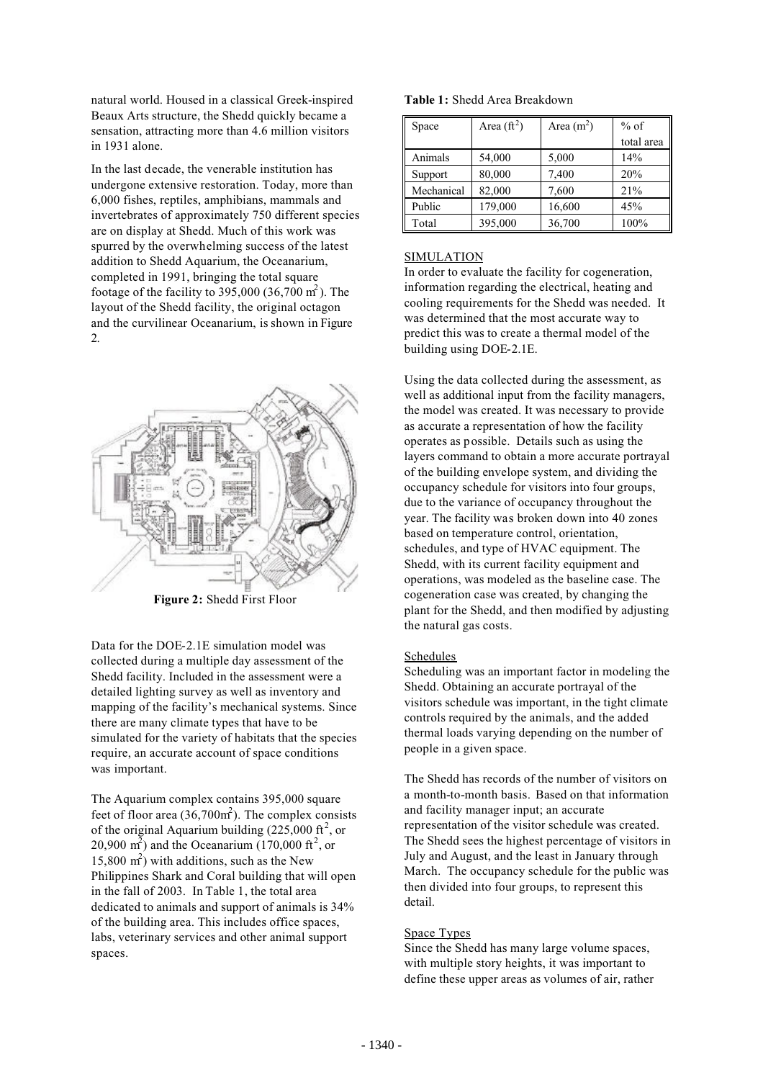natural world. Housed in a classical Greek-inspired Beaux Arts structure, the Shedd quickly became a sensation, attracting more than 4.6 million visitors in 1931 alone.

In the last decade, the venerable institution has undergone extensive restoration. Today, more than 6,000 fishes, reptiles, amphibians, mammals and invertebrates of approximately 750 different species are on display at Shedd. Much of this work was spurred by the overwhelming success of the latest addition to Shedd Aquarium, the Oceanarium, completed in 1991, bringing the total square footage of the facility to 395,000 (36,700  $m<sup>2</sup>$ ). The layout of the Shedd facility, the original octagon and the curvilinear Oceanarium, is shown in Figure 2.



**Figure 2:** Shedd First Floor

Data for the DOE-2.1E simulation model was collected during a multiple day assessment of the Shedd facility. Included in the assessment were a detailed lighting survey as well as inventory and mapping of the facility's mechanical systems. Since there are many climate types that have to be simulated for the variety of habitats that the species require, an accurate account of space conditions was important.

The Aquarium complex contains 395,000 square feet of floor area  $(36,700<sup>m</sup>)$ . The complex consists of the original Aquarium building  $(225,000 \text{ ft}^2, \text{ or }$ 20,900 m<sup>2</sup>) and the Oceanarium (170,000 ft<sup>2</sup>, or 15,800  $m<sup>2</sup>$ ) with additions, such as the New Philippines Shark and Coral building that will open in the fall of 2003. In Table 1, the total area dedicated to animals and support of animals is 34% of the building area. This includes office spaces, labs, veterinary services and other animal support spaces.

|  | Table 1: Shedd Area Breakdown |  |
|--|-------------------------------|--|
|--|-------------------------------|--|

| Space      | Area $(\text{ft}^2)$ | Area $(m^2)$ | $%$ of     |
|------------|----------------------|--------------|------------|
|            |                      |              | total area |
| Animals    | 54,000               | 5,000        | 14%        |
| Support    | 80,000               | 7,400        | 20%        |
| Mechanical | 82,000               | 7,600        | 21%        |
| Public     | 179,000              | 16,600       | 45%        |
| Total      | 395,000              | 36,700       | 100%       |

## SIMULATION

In order to evaluate the facility for cogeneration, information regarding the electrical, heating and cooling requirements for the Shedd was needed. It was determined that the most accurate way to predict this was to create a thermal model of the building using DOE-2.1E.

Using the data collected during the assessment, as well as additional input from the facility managers, the model was created. It was necessary to provide as accurate a representation of how the facility operates as possible. Details such as using the layers command to obtain a more accurate portrayal of the building envelope system, and dividing the occupancy schedule for visitors into four groups, due to the variance of occupancy throughout the year. The facility was broken down into 40 zones based on temperature control, orientation, schedules, and type of HVAC equipment. The Shedd, with its current facility equipment and operations, was modeled as the baseline case. The cogeneration case was created, by changing the plant for the Shedd, and then modified by adjusting the natural gas costs.

## **Schedules**

Scheduling was an important factor in modeling the Shedd. Obtaining an accurate portrayal of the visitors schedule was important, in the tight climate controls required by the animals, and the added thermal loads varying depending on the number of people in a given space.

The Shedd has records of the number of visitors on a month-to-month basis. Based on that information and facility manager input; an accurate representation of the visitor schedule was created. The Shedd sees the highest percentage of visitors in July and August, and the least in January through March. The occupancy schedule for the public was then divided into four groups, to represent this detail.

### Space Types

Since the Shedd has many large volume spaces, with multiple story heights, it was important to define these upper areas as volumes of air, rather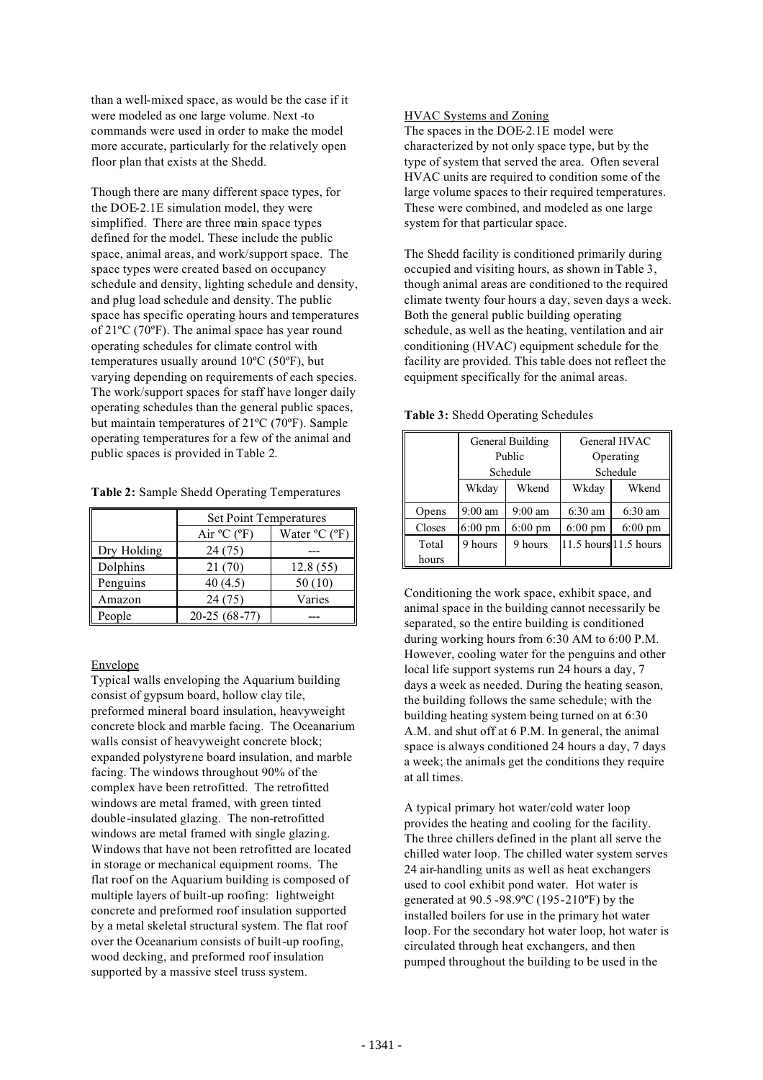than a well-mixed space, as would be the case if it were modeled as one large volume. Next -to commands were used in order to make the model more accurate, particularly for the relatively open floor plan that exists at the Shedd.

Though there are many different space types, for the DOE-2.1E simulation model, they were simplified. There are three main space types defined for the model. These include the public space, animal areas, and work/support space. The space types were created based on occupancy schedule and density, lighting schedule and density, and plug load schedule and density. The public space has specific operating hours and temperatures of 21ºC (70ºF). The animal space has year round operating schedules for climate control with temperatures usually around 10ºC (50ºF), but varying depending on requirements of each species. The work/support spaces for staff have longer daily operating schedules than the general public spaces, but maintain temperatures of 21ºC (70ºF). Sample operating temperatures for a few of the animal and public spaces is provided in Table 2.

|  |  |  |  | Table 2: Sample Shedd Operating Temperatures |
|--|--|--|--|----------------------------------------------|
|--|--|--|--|----------------------------------------------|

|             | <b>Set Point Temperatures</b>                     |          |  |  |
|-------------|---------------------------------------------------|----------|--|--|
|             | Air $^{\circ}$ C ( $^{\circ}$ F)<br>Water °C (°F) |          |  |  |
| Dry Holding | 24 (75)                                           |          |  |  |
| Dolphins    | 21 (70)                                           | 12.8(55) |  |  |
| Penguins    | 40(4.5)                                           | 50 (10)  |  |  |
| Amazon      | 24 (75)                                           | Varies   |  |  |
| People      | $20-25(68-77)$                                    |          |  |  |

## Envelope

Typical walls enveloping the Aquarium building consist of gypsum board, hollow clay tile, preformed mineral board insulation, heavyweight concrete block and marble facing. The Oceanarium walls consist of heavyweight concrete block; expanded polystyrene board insulation, and marble facing. The windows throughout 90% of the complex have been retrofitted. The retrofitted windows are metal framed, with green tinted double-insulated glazing. The non-retrofitted windows are metal framed with single glazing. Windows that have not been retrofitted are located in storage or mechanical equipment rooms. The flat roof on the Aquarium building is composed of multiple layers of built-up roofing: lightweight concrete and preformed roof insulation supported by a metal skeletal structural system. The flat roof over the Oceanarium consists of built-up roofing, wood decking, and preformed roof insulation supported by a massive steel truss system.

## HVAC Systems and Zoning

The spaces in the DOE-2.1E model were characterized by not only space type, but by the type of system that served the area. Often several HVAC units are required to condition some of the large volume spaces to their required temperatures. These were combined, and modeled as one large system for that particular space.

The Shedd facility is conditioned primarily during occupied and visiting hours, as shown in Table 3, though animal areas are conditioned to the required climate twenty four hours a day, seven days a week. Both the general public building operating schedule, as well as the heating, ventilation and air conditioning (HVAC) equipment schedule for the facility are provided. This table does not reflect the equipment specifically for the animal areas.

|        | General Building  |                   | General HVAC      |                       |
|--------|-------------------|-------------------|-------------------|-----------------------|
|        | Public            |                   | Operating         |                       |
|        | Schedule          |                   | Schedule          |                       |
|        | Wkend<br>Wkday    |                   | Wkday             | Wkend                 |
| Opens  | $9:00$ am         | $9:00$ am         | $6:30$ am         | $6:30$ am             |
| Closes | $6:00 \text{ pm}$ | $6:00 \text{ pm}$ | $6:00 \text{ pm}$ | $6:00 \text{ pm}$     |
| Total  | 9 hours           | 9 hours           |                   | 11.5 hours 11.5 hours |
| hours  |                   |                   |                   |                       |

**Table 3:** Shedd Operating Schedules

Conditioning the work space, exhibit space, and animal space in the building cannot necessarily be separated, so the entire building is conditioned during working hours from 6:30 AM to 6:00 P.M. However, cooling water for the penguins and other local life support systems run 24 hours a day, 7 days a week as needed. During the heating season, the building follows the same schedule; with the building heating system being turned on at 6:30 A.M. and shut off at 6 P.M. In general, the animal space is always conditioned 24 hours a day, 7 days a week; the animals get the conditions they require at all times.

A typical primary hot water/cold water loop provides the heating and cooling for the facility. The three chillers defined in the plant all serve the chilled water loop. The chilled water system serves 24 air-handling units as well as heat exchangers used to cool exhibit pond water. Hot water is generated at 90.5 -98.9ºC (195-210ºF) by the installed boilers for use in the primary hot water loop. For the secondary hot water loop, hot water is circulated through heat exchangers, and then pumped throughout the building to be used in the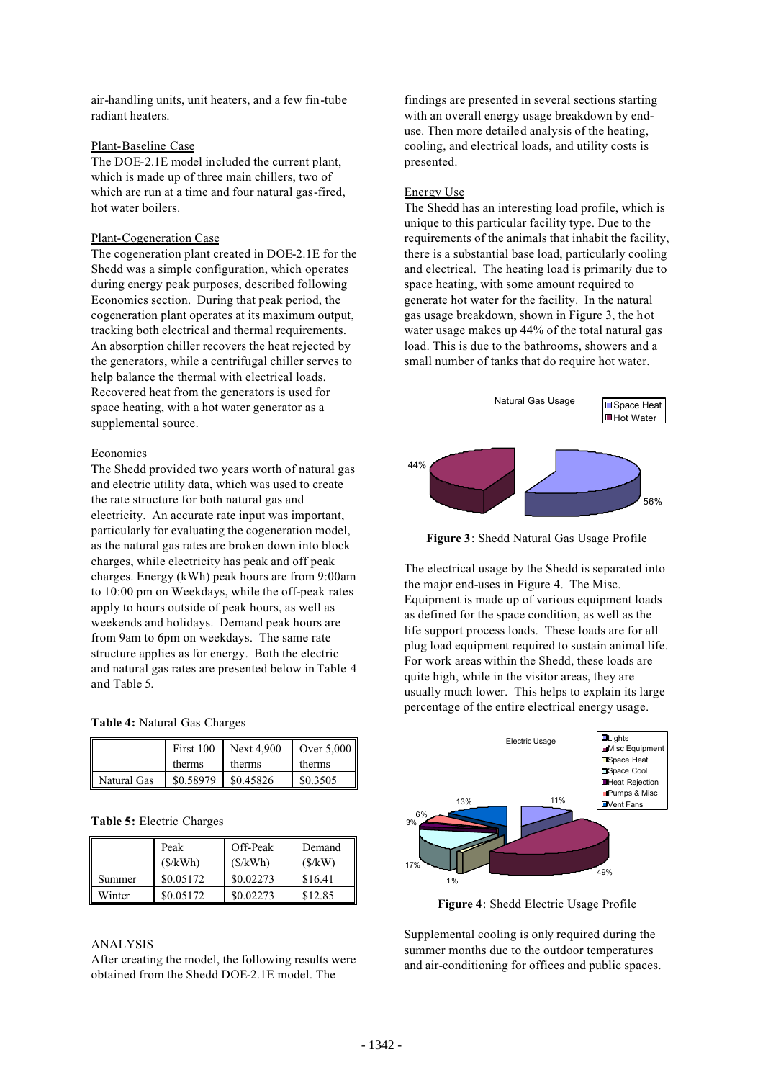air-handling units, unit heaters, and a few fin-tube radiant heaters.

## Plant-Baseline Case

The DOE-2.1E model included the current plant, which is made up of three main chillers, two of which are run at a time and four natural gas-fired, hot water boilers.

#### Plant-Cogeneration Case

The cogeneration plant created in DOE-2.1E for the Shedd was a simple configuration, which operates during energy peak purposes, described following Economics section. During that peak period, the cogeneration plant operates at its maximum output, tracking both electrical and thermal requirements. An absorption chiller recovers the heat rejected by the generators, while a centrifugal chiller serves to help balance the thermal with electrical loads. Recovered heat from the generators is used for space heating, with a hot water generator as a supplemental source.

### Economics

The Shedd provided two years worth of natural gas and electric utility data, which was used to create the rate structure for both natural gas and electricity. An accurate rate input was important, particularly for evaluating the cogeneration model, as the natural gas rates are broken down into block charges, while electricity has peak and off peak charges. Energy (kWh) peak hours are from 9:00am to 10:00 pm on Weekdays, while the off-peak rates apply to hours outside of peak hours, as well as weekends and holidays. Demand peak hours are from 9am to 6pm on weekdays. The same rate structure applies as for energy. Both the electric and natural gas rates are presented below in Table 4 and Table 5.

## **Table 4:** Natural Gas Charges

|             | First 100 | <b>Next 4.900</b> | Over 5,000 |
|-------------|-----------|-------------------|------------|
|             | therms    | therms            | therms     |
| Natural Gas | \$0.58979 | \$0.45826         | \$0.3505   |

## **Table 5:** Electric Charges

|        | Peak<br>(S/kWh) | Off-Peak<br>(S/kWh) | Demand<br>(S/kW) |
|--------|-----------------|---------------------|------------------|
| Summer | \$0.05172       | \$0.02273           | \$16.41          |
| Winter | \$0.05172       | \$0.02273           | \$12.85          |

## ANALYSIS

After creating the model, the following results were obtained from the Shedd DOE-2.1E model. The

findings are presented in several sections starting with an overall energy usage breakdown by enduse. Then more detailed analysis of the heating, cooling, and electrical loads, and utility costs is presented.

## Energy Use

The Shedd has an interesting load profile, which is unique to this particular facility type. Due to the requirements of the animals that inhabit the facility, there is a substantial base load, particularly cooling and electrical. The heating load is primarily due to space heating, with some amount required to generate hot water for the facility. In the natural gas usage breakdown, shown in Figure 3, the hot water usage makes up 44% of the total natural gas load. This is due to the bathrooms, showers and a small number of tanks that do require hot water.



**Figure 3**: Shedd Natural Gas Usage Profile

The electrical usage by the Shedd is separated into the major end-uses in Figure 4. The Misc. Equipment is made up of various equipment loads as defined for the space condition, as well as the life support process loads. These loads are for all plug load equipment required to sustain animal life. For work areas within the Shedd, these loads are quite high, while in the visitor areas, they are usually much lower. This helps to explain its large percentage of the entire electrical energy usage.



**Figure 4**: Shedd Electric Usage Profile

Supplemental cooling is only required during the summer months due to the outdoor temperatures and air-conditioning for offices and public spaces.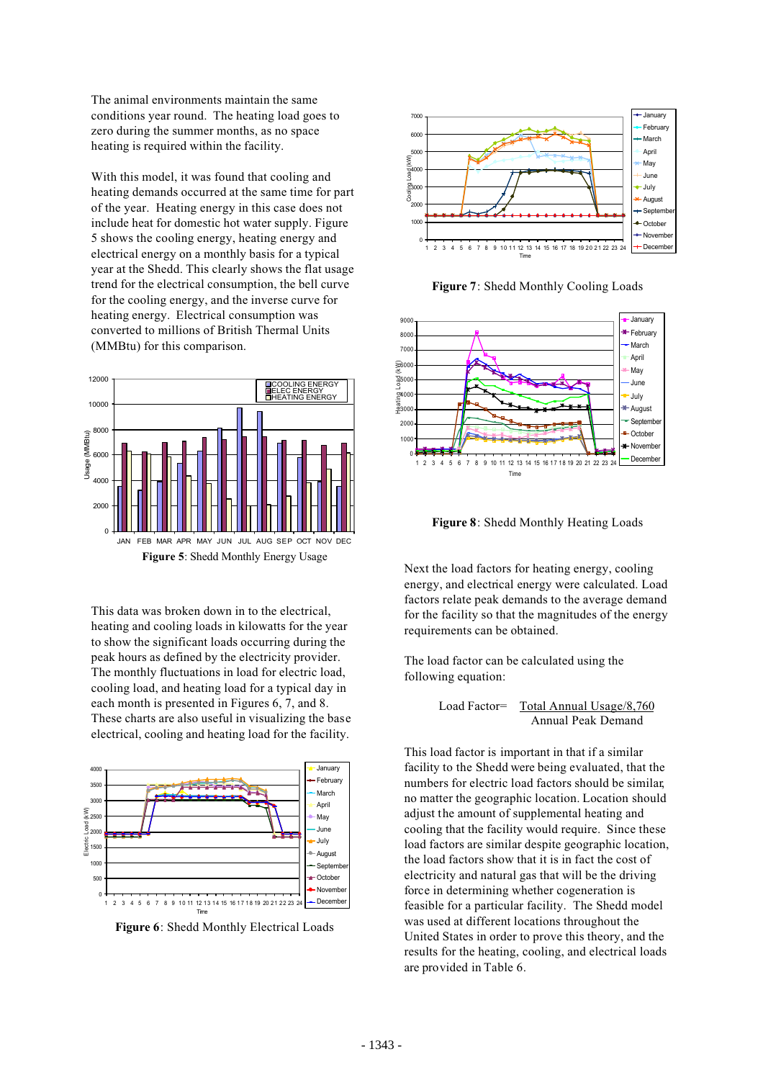The animal environments maintain the same conditions year round. The heating load goes to zero during the summer months, as no space heating is required within the facility.

With this model, it was found that cooling and heating demands occurred at the same time for part of the year. Heating energy in this case does not include heat for domestic hot water supply. Figure 5 shows the cooling energy, heating energy and electrical energy on a monthly basis for a typical year at the Shedd. This clearly shows the flat usage trend for the electrical consumption, the bell curve for the cooling energy, and the inverse curve for heating energy. Electrical consumption was converted to millions of British Thermal Units (MMBtu) for this comparison.



This data was broken down in to the electrical, heating and cooling loads in kilowatts for the year to show the significant loads occurring during the peak hours as defined by the electricity provider. The monthly fluctuations in load for electric load, cooling load, and heating load for a typical day in each month is presented in Figures 6, 7, and 8. These charts are also useful in visualizing the base electrical, cooling and heating load for the facility.



**Figure 6**: Shedd Monthly Electrical Loads



**Figure 7**: Shedd Monthly Cooling Loads



**Figure 8**: Shedd Monthly Heating Loads

Next the load factors for heating energy, cooling energy, and electrical energy were calculated. Load factors relate peak demands to the average demand for the facility so that the magnitudes of the energy requirements can be obtained.

The load factor can be calculated using the following equation:

Load Factor= Total Annual Usage/8,760 Annual Peak Demand

This load factor is important in that if a similar facility to the Shedd were being evaluated, that the numbers for electric load factors should be similar, no matter the geographic location. Location should adjust the amount of supplemental heating and cooling that the facility would require. Since these load factors are similar despite geographic location, the load factors show that it is in fact the cost of electricity and natural gas that will be the driving force in determining whether cogeneration is feasible for a particular facility. The Shedd model was used at different locations throughout the United States in order to prove this theory, and the results for the heating, cooling, and electrical loads are provided in Table 6.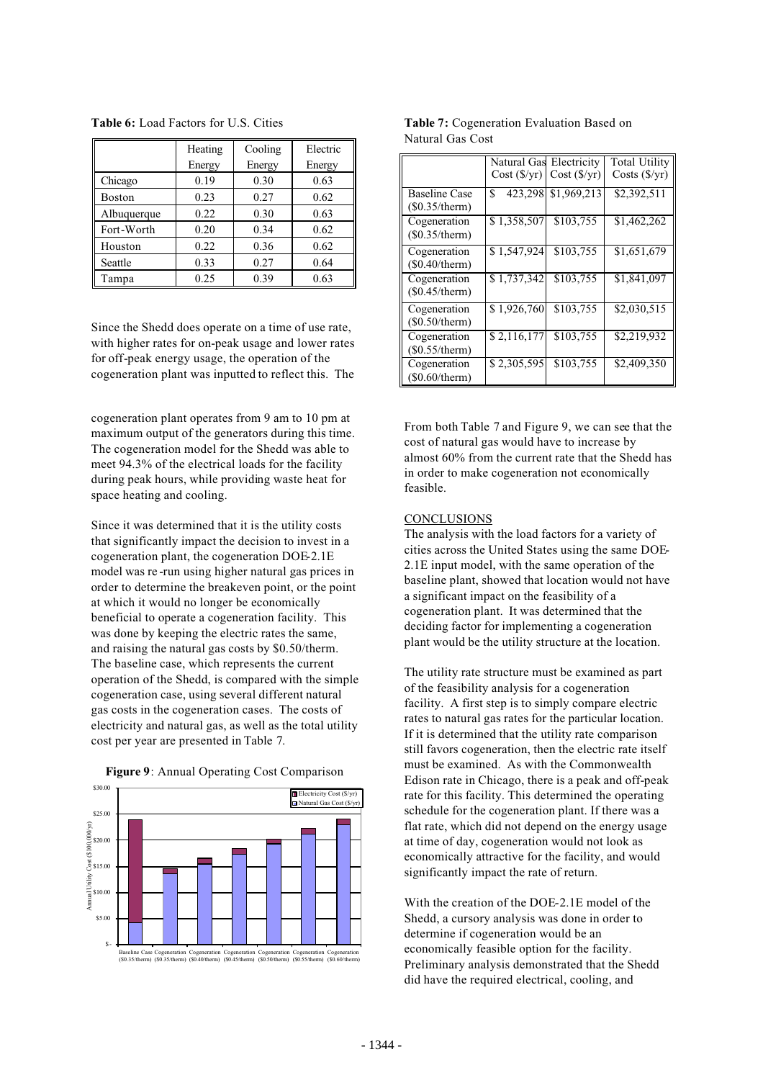|               | Heating | Cooling | Electric |
|---------------|---------|---------|----------|
|               | Energy  | Energy  | Energy   |
| Chicago       | 0.19    | 0.30    | 0.63     |
| <b>Boston</b> | 0.23    | 0.27    | 0.62     |
| Albuquerque   | 0.22    | 0.30    | 0.63     |
| Fort-Worth    | 0.20    | 0.34    | 0.62     |
| Houston       | 0.22    | 0.36    | 0.62     |
| Seattle       | 0.33    | 0.27    | 0.64     |
| Tampa         | 0.25    | 0.39    | 0.63     |

**Table 6:** Load Factors for U.S. Cities

Since the Shedd does operate on a time of use rate, with higher rates for on-peak usage and lower rates for off-peak energy usage, the operation of the cogeneration plant was inputted to reflect this. The

cogeneration plant operates from 9 am to 10 pm at maximum output of the generators during this time. The cogeneration model for the Shedd was able to meet 94.3% of the electrical loads for the facility during peak hours, while providing waste heat for space heating and cooling.

Since it was determined that it is the utility costs that significantly impact the decision to invest in a cogeneration plant, the cogeneration DOE-2.1E model was re -run using higher natural gas prices in order to determine the breakeven point, or the point at which it would no longer be economically beneficial to operate a cogeneration facility. This was done by keeping the electric rates the same, and raising the natural gas costs by \$0.50/therm. The baseline case, which represents the current operation of the Shedd, is compared with the simple cogeneration case, using several different natural gas costs in the cogeneration cases. The costs of electricity and natural gas, as well as the total utility cost per year are presented in Table 7.





**Table 7:** Cogeneration Evaluation Based on Natural Gas Cost

|                                        | Natural Gas                | Electricity           | <b>Total Utility</b>      |
|----------------------------------------|----------------------------|-----------------------|---------------------------|
|                                        | Cost(S/yr)                 | Cost(S/yr)            | $Costs$ ( $\frac{f}{f}$ ) |
| <b>Baseline Case</b><br>(\$0.35/therm) | $\overline{423,298}$<br>\$ | \$1,969,213           | \$2,392,511               |
| Cogeneration<br>(\$0.35/therm)         | \$1,358,507                | \$103,755             | \$1,462,262               |
| Cogeneration<br>(\$0.40/therm)         | \$1,547,924                | \$103,755             | \$1,651,679               |
| Cogeneration<br>(\$0.45/therm)         | \$1,737,342                | $\overline{$}103,755$ | \$1,841,097               |
| Cogeneration<br>(\$0.50/therm)         | \$1,926,760                | \$103,755             | \$2,030,515               |
| Cogeneration<br>(\$0.55/therm)         | \$2,116,177                | \$103,755             | \$2,219,932               |
| Cogeneration<br>(\$0.60/therm)         | \$2,305,595                | \$103,755             | \$2,409,350               |

From both Table 7 and Figure 9, we can see that the cost of natural gas would have to increase by almost 60% from the current rate that the Shedd has in order to make cogeneration not economically feasible.

## **CONCLUSIONS**

The analysis with the load factors for a variety of cities across the United States using the same DOE-2.1E input model, with the same operation of the baseline plant, showed that location would not have a significant impact on the feasibility of a cogeneration plant. It was determined that the deciding factor for implementing a cogeneration plant would be the utility structure at the location.

The utility rate structure must be examined as part of the feasibility analysis for a cogeneration facility. A first step is to simply compare electric rates to natural gas rates for the particular location. If it is determined that the utility rate comparison still favors cogeneration, then the electric rate itself must be examined. As with the Commonwealth Edison rate in Chicago, there is a peak and off-peak rate for this facility. This determined the operating schedule for the cogeneration plant. If there was a flat rate, which did not depend on the energy usage at time of day, cogeneration would not look as economically attractive for the facility, and would significantly impact the rate of return.

With the creation of the DOE-2.1E model of the Shedd, a cursory analysis was done in order to determine if cogeneration would be an economically feasible option for the facility. Preliminary analysis demonstrated that the Shedd did have the required electrical, cooling, and